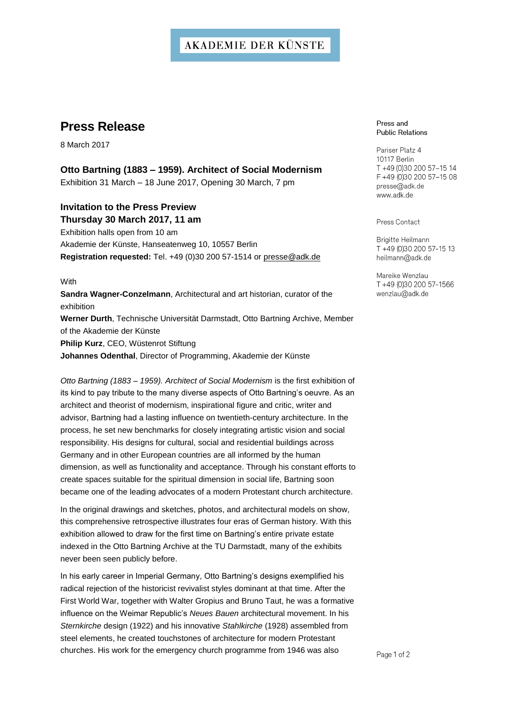# **AKADEMIE DER KÜNSTE**

# **Press Release**

8 March 2017

## **Otto Bartning (1883 – 1959). Architect of Social Modernism** Exhibition 31 March – 18 June 2017, Opening 30 March, 7 pm

## **Invitation to the Press Preview Thursday 30 March 2017, 11 am**

Exhibition halls open from 10 am Akademie der Künste, Hanseatenweg 10, 10557 Berlin **Registration requested:** Tel. +49 (0)30 200 57-1514 or presse@adk.de

### **With**

**Sandra Wagner-Conzelmann**, Architectural and art historian, curator of the exhibition **Werner Durth**, Technische Universität Darmstadt, Otto Bartning Archive, Member of the Akademie der Künste **Philip Kurz**, CEO, Wüstenrot Stiftung **Johannes Odenthal**, Director of Programming, Akademie der Künste

*Otto Bartning (1883 – 1959). Architect of Social Modernism* is the first exhibition of its kind to pay tribute to the many diverse aspects of Otto Bartning's oeuvre. As an architect and theorist of modernism, inspirational figure and critic, writer and advisor, Bartning had a lasting influence on twentieth-century architecture. In the process, he set new benchmarks for closely integrating artistic vision and social responsibility. His designs for cultural, social and residential buildings across Germany and in other European countries are all informed by the human dimension, as well as functionality and acceptance. Through his constant efforts to create spaces suitable for the spiritual dimension in social life, Bartning soon became one of the leading advocates of a modern Protestant church architecture.

In the original drawings and sketches, photos, and architectural models on show, this comprehensive retrospective illustrates four eras of German history. With this exhibition allowed to draw for the first time on Bartning's entire private estate indexed in the Otto Bartning Archive at the TU Darmstadt, many of the exhibits never been seen publicly before.

In his early career in Imperial Germany, Otto Bartning's designs exemplified his radical rejection of the historicist revivalist styles dominant at that time. After the First World War, together with Walter Gropius and Bruno Taut, he was a formative influence on the Weimar Republic's *Neues Bauen* architectural movement. In his *Sternkirche* design (1922) and his innovative *Stahlkirche* (1928) assembled from steel elements, he created touchstones of architecture for modern Protestant churches. His work for the emergency church programme from 1946 was also

#### Press and **Public Relations**

Pariser Platz 4 10117 Berlin T +49 (0)30 200 57-15 14 F +49 (0)30 200 57-15 08 presse@adk.de www.adk.de

Press Contact

Brigitte Heilmann T +49 (0)30 200 57-15 13 heilmann@adk.de

Mareike Wenzlau T+49 (0)30 200 57-1566 wenzlau@adk.de